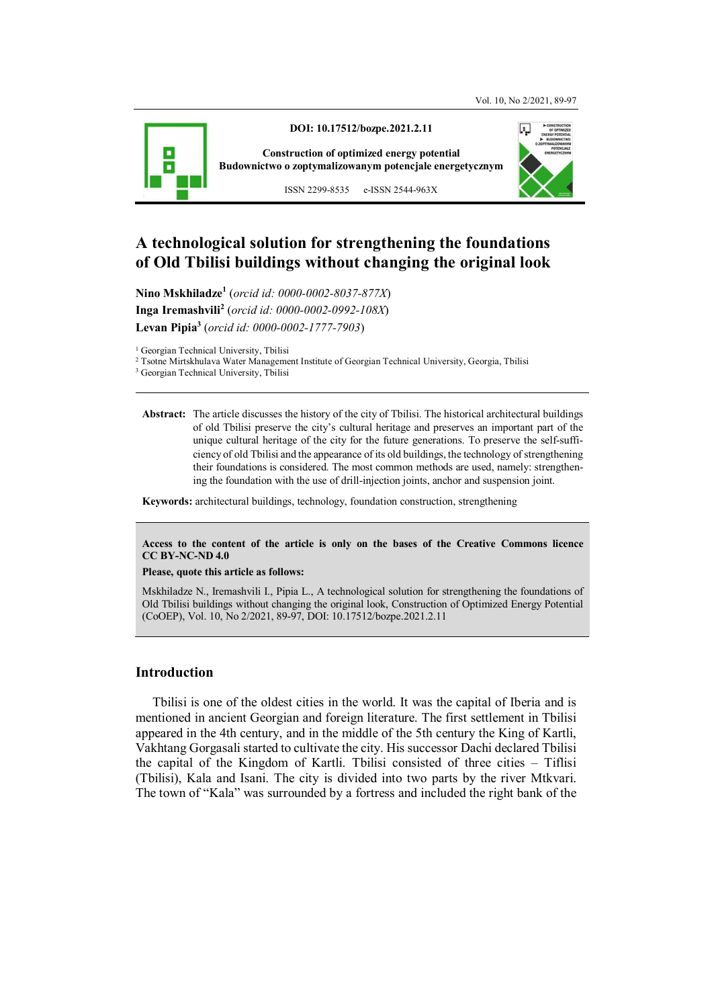

**DOI: 10.17512/bozpe.2021.2.11** 

**Construction of optimized energy potential Budownictwo o zoptymalizowanym potencjale energetycznym**



ISSN 2299-8535 e-ISSN 2544-963X

# **A technological solution for strengthening the foundations of Old Tbilisi buildings without changing the original look**

**Nino Mskhiladze<sup>1</sup>** (*orcid id: 0000-0002-8037-877X*) **Inga Iremashvili<sup>2</sup>** (*orcid id: 0000-0002-0992-108X*) **Levan Pipia<sup>3</sup>** (*orcid id: 0000-0002-1777-7903*)

<sup>1</sup> Georgian Technical University, Tbilisi

2 Tsotne Mirtskhulava Water Management Institute of Georgian Technical University, Georgia, Tbilisi

**Abstract:** The article discusses the history of the city of Tbilisi. The historical architectural buildings of old Tbilisi preserve the city's cultural heritage and preserves an important part of the unique cultural heritage of the city for the future generations. To preserve the self-sufficiency of old Tbilisi and the appearance of its old buildings, the technology of strengthening their foundations is considered. The most common methods are used, namely: strengthening the foundation with the use of drill-injection joints, anchor and suspension joint.

**Keywords:** architectural buildings, technology, foundation construction, strengthening

#### **Access to the content of the article is only on the bases of the Creative Commons licence CC BY-NC-ND 4.0**

#### **Please, quote this article as follows:**

Mskhiladze N., Iremashvili I., Pipia L., A technological solution for strengthening the foundations of Old Tbilisi buildings without changing the original look, Construction of Optimized Energy Potential (CoOEP), Vol. 10, No 2/2021, 89-97, DOI: 10.17512/bozpe.2021.2.11

#### **Introduction**

Tbilisi is one of the oldest cities in the world. It was the capital of Iberia and is mentioned in ancient Georgian and foreign literature. The first settlement in Tbilisi appeared in the 4th century, and in the middle of the 5th century the King of Kartli, Vakhtang Gorgasali started to cultivate the city. His successor Dachi declared Tbilisi the capital of the Kingdom of Kartli. Tbilisi consisted of three cities – Tiflisi (Tbilisi), Kala and Isani. The city is divided into two parts by the river Mtkvari. The town of "Kala" was surrounded by a fortress and included the right bank of the

<sup>3</sup> Georgian Technical University, Tbilisi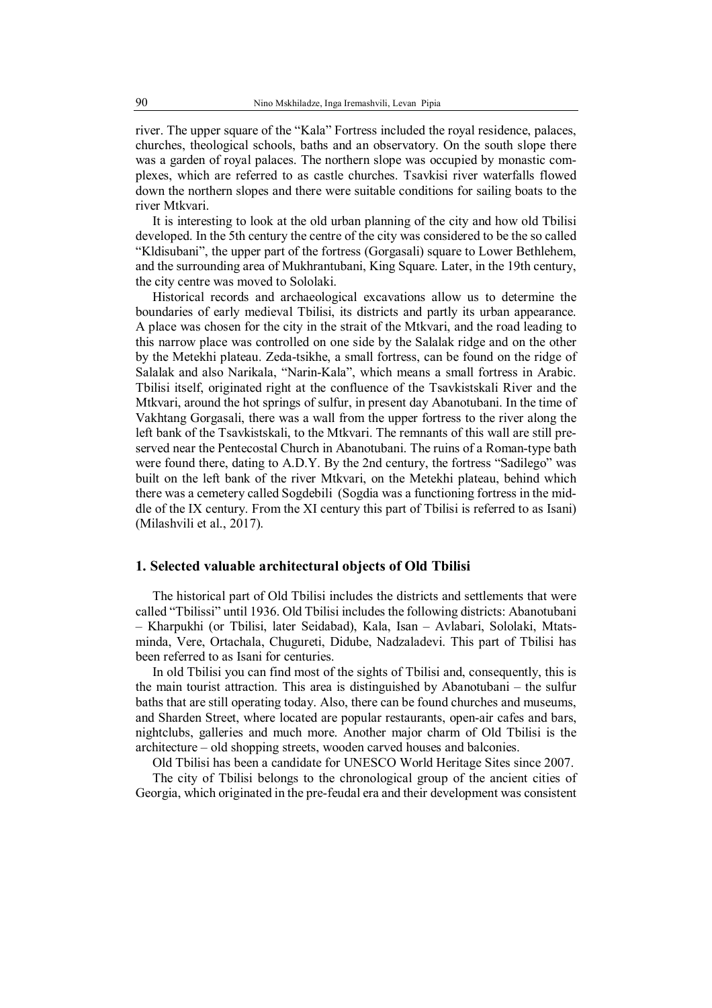river. The upper square of the "Kala" Fortress included the royal residence, palaces, churches, theological schools, baths and an observatory. On the south slope there was a garden of royal palaces. The northern slope was occupied by monastic complexes, which are referred to as castle churches. Tsavkisi river waterfalls flowed down the northern slopes and there were suitable conditions for sailing boats to the river Mtkvari.

It is interesting to look at the old urban planning of the city and how old Tbilisi developed. In the 5th century the centre of the city was considered to be the so called "Kldisubani", the upper part of the fortress (Gorgasali) square to Lower Bethlehem, and the surrounding area of Mukhrantubani, King Square. Later, in the 19th century, the city centre was moved to Sololaki.

Historical records and archaeological excavations allow us to determine the boundaries of early medieval Tbilisi, its districts and partly its urban appearance. A place was chosen for the city in the strait of the Mtkvari, and the road leading to this narrow place was controlled on one side by the Salalak ridge and on the other by the Metekhi plateau. Zeda-tsikhe, a small fortress, can be found on the ridge of Salalak and also Narikala, "Narin-Kala", which means a small fortress in Arabic. Tbilisi itself, originated right at the confluence of the Tsavkistskali River and the Mtkvari, around the hot springs of sulfur, in present day Abanotubani. In the time of Vakhtang Gorgasali, there was a wall from the upper fortress to the river along the left bank of the Tsavkistskali, to the Mtkvari. The remnants of this wall are still preserved near the Pentecostal Church in Abanotubani. The ruins of a Roman-type bath were found there, dating to A.D.Y. By the 2nd century, the fortress "Sadilego" was built on the left bank of the river Mtkvari, on the Metekhi plateau, behind which there was a cemetery called Sogdebili (Sogdia was a functioning fortress in the middle of the IX century. From the XI century this part of Tbilisi is referred to as Isani) (Milashvili et al., 2017).

#### **1. Selected valuable architectural objects of Old Tbilisi**

The historical part of Old Tbilisi includes the districts and settlements that were called "Tbilissi" until 1936. Old Tbilisi includes the following districts: Abanotubani – Kharpukhi (or Tbilisi, later Seidabad), Kala, Isan – Avlabari, Sololaki, Mtatsminda, Vere, Ortachala, Chugureti, Didube, Nadzaladevi. This part of Tbilisi has been referred to as Isani for centuries.

In old Tbilisi you can find most of the sights of Tbilisi and, consequently, this is the main tourist attraction. This area is distinguished by Abanotubani – the sulfur baths that are still operating today. Also, there can be found churches and museums, and Sharden Street, where located are popular restaurants, open-air cafes and bars, nightclubs, galleries and much more. Another major charm of Old Tbilisi is the architecture – old shopping streets, wooden carved houses and balconies.

Old Tbilisi has been a candidate for UNESCO World Heritage Sites since 2007.

The city of Tbilisi belongs to the chronological group of the ancient cities of Georgia, which originated in the pre-feudal era and their development was consistent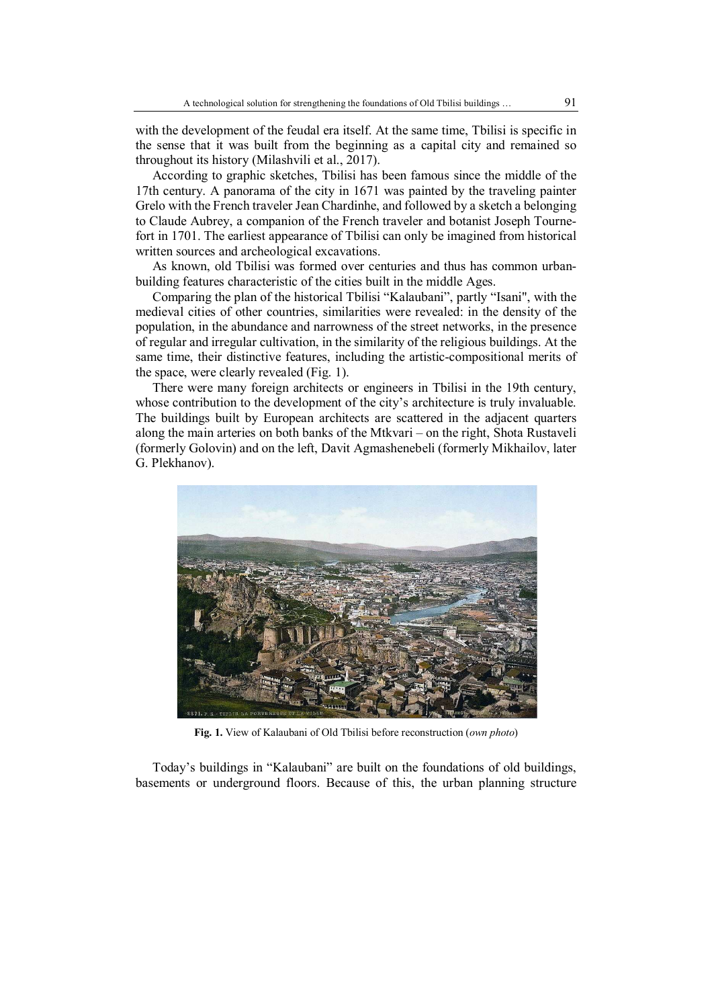with the development of the feudal era itself. At the same time, Tbilisi is specific in the sense that it was built from the beginning as a capital city and remained so throughout its history (Milashvili et al., 2017).

According to graphic sketches, Tbilisi has been famous since the middle of the 17th century. A panorama of the city in 1671 was painted by the traveling painter Grelo with the French traveler Jean Chardinhe, and followed by a sketch a belonging to Claude Aubrey, a companion of the French traveler and botanist Joseph Tournefort in 1701. The earliest appearance of Tbilisi can only be imagined from historical written sources and archeological excavations.

As known, old Tbilisi was formed over centuries and thus has common urbanbuilding features characteristic of the cities built in the middle Ages.

Comparing the plan of the historical Tbilisi "Kalaubani", partly "Isani", with the medieval cities of other countries, similarities were revealed: in the density of the population, in the abundance and narrowness of the street networks, in the presence of regular and irregular cultivation, in the similarity of the religious buildings. At the same time, their distinctive features, including the artistic-compositional merits of the space, were clearly revealed (Fig. 1).

There were many foreign architects or engineers in Tbilisi in the 19th century, whose contribution to the development of the city's architecture is truly invaluable. The buildings built by European architects are scattered in the adjacent quarters along the main arteries on both banks of the Mtkvari – on the right, Shota Rustaveli (formerly Golovin) and on the left, Davit Agmashenebeli (formerly Mikhailov, later G. Plekhanov).



**Fig. 1.** View of Kalaubani of Old Tbilisi before reconstruction (*own photo*)

Today's buildings in "Kalaubani" are built on the foundations of old buildings, basements or underground floors. Because of this, the urban planning structure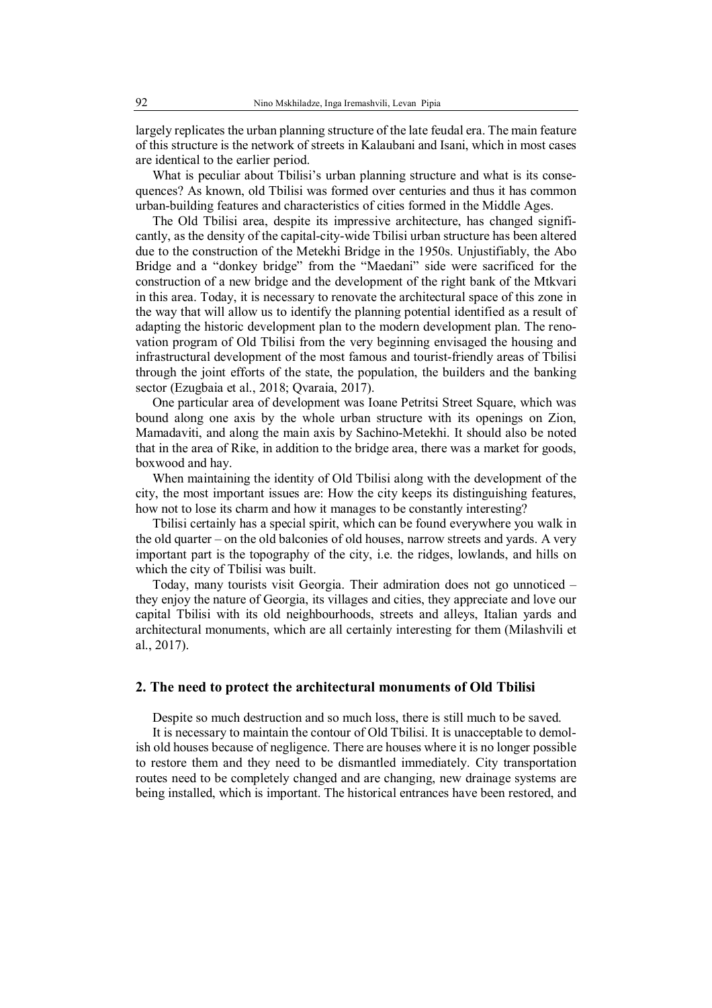largely replicates the urban planning structure of the late feudal era. The main feature of this structure is the network of streets in Kalaubani and Isani, which in most cases are identical to the earlier period.

What is peculiar about Tbilisi's urban planning structure and what is its consequences? As known, old Tbilisi was formed over centuries and thus it has common urban-building features and characteristics of cities formed in the Middle Ages.

The Old Tbilisi area, despite its impressive architecture, has changed significantly, as the density of the capital-city-wide Tbilisi urban structure has been altered due to the construction of the Metekhi Bridge in the 1950s. Unjustifiably, the Abo Bridge and a "donkey bridge" from the "Maedani" side were sacrificed for the construction of a new bridge and the development of the right bank of the Mtkvari in this area. Today, it is necessary to renovate the architectural space of this zone in the way that will allow us to identify the planning potential identified as a result of adapting the historic development plan to the modern development plan. The renovation program of Old Tbilisi from the very beginning envisaged the housing and infrastructural development of the most famous and tourist-friendly areas of Tbilisi through the joint efforts of the state, the population, the builders and the banking sector (Ezugbaia et al., 2018; Qvaraia, 2017).

One particular area of development was Ioane Petritsi Street Square, which was bound along one axis by the whole urban structure with its openings on Zion, Mamadaviti, and along the main axis by Sachino-Metekhi. It should also be noted that in the area of Rike, in addition to the bridge area, there was a market for goods, boxwood and hay.

When maintaining the identity of Old Tbilisi along with the development of the city, the most important issues are: How the city keeps its distinguishing features, how not to lose its charm and how it manages to be constantly interesting?

Tbilisi certainly has a special spirit, which can be found everywhere you walk in the old quarter – on the old balconies of old houses, narrow streets and yards. A very important part is the topography of the city, i.e. the ridges, lowlands, and hills on which the city of Tbilisi was built.

Today, many tourists visit Georgia. Their admiration does not go unnoticed – they enjoy the nature of Georgia, its villages and cities, they appreciate and love our capital Tbilisi with its old neighbourhoods, streets and alleys, Italian yards and architectural monuments, which are all certainly interesting for them (Milashvili et al., 2017).

### **2. The need to protect the architectural monuments of Old Tbilisi**

Despite so much destruction and so much loss, there is still much to be saved.

It is necessary to maintain the contour of Old Tbilisi. It is unacceptable to demolish old houses because of negligence. There are houses where it is no longer possible to restore them and they need to be dismantled immediately. City transportation routes need to be completely changed and are changing, new drainage systems are being installed, which is important. The historical entrances have been restored, and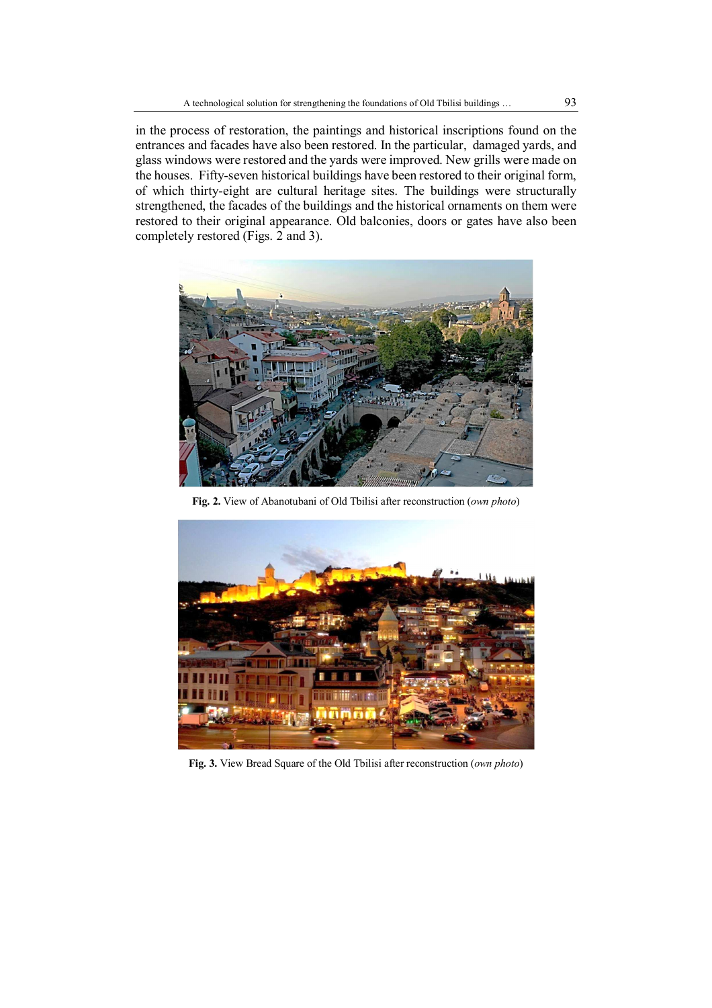in the process of restoration, the paintings and historical inscriptions found on the entrances and facades have also been restored. In the particular, damaged yards, and glass windows were restored and the yards were improved. New grills were made on the houses. Fifty-seven historical buildings have been restored to their original form, of which thirty-eight are cultural heritage sites. The buildings were structurally strengthened, the facades of the buildings and the historical ornaments on them were restored to their original appearance. Old balconies, doors or gates have also been completely restored (Figs. 2 and 3).



**Fig. 2.** View of Abanotubani of Old Tbilisi after reconstruction (*own photo*)



**Fig. 3.** View Bread Square of the Old Tbilisi after reconstruction (*own photo*)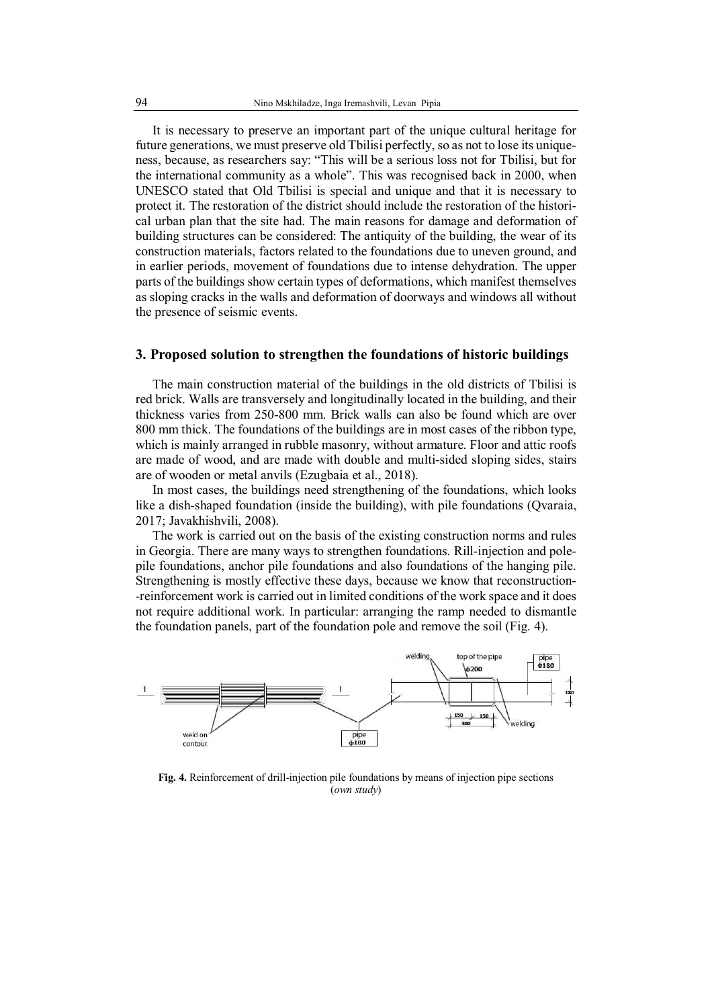It is necessary to preserve an important part of the unique cultural heritage for future generations, we must preserve old Tbilisi perfectly, so as not to lose its uniqueness, because, as researchers say: "This will be a serious loss not for Tbilisi, but for the international community as a whole". This was recognised back in 2000, when UNESCO stated that Old Tbilisi is special and unique and that it is necessary to protect it. The restoration of the district should include the restoration of the historical urban plan that the site had. The main reasons for damage and deformation of building structures can be considered: The antiquity of the building, the wear of its construction materials, factors related to the foundations due to uneven ground, and in earlier periods, movement of foundations due to intense dehydration. The upper parts of the buildings show certain types of deformations, which manifest themselves as sloping cracks in the walls and deformation of doorways and windows all without the presence of seismic events.

## **3. Proposed solution to strengthen the foundations of historic buildings**

The main construction material of the buildings in the old districts of Tbilisi is red brick. Walls are transversely and longitudinally located in the building, and their thickness varies from 250-800 mm. Brick walls can also be found which are over 800 mm thick. The foundations of the buildings are in most cases of the ribbon type, which is mainly arranged in rubble masonry, without armature. Floor and attic roofs are made of wood, and are made with double and multi-sided sloping sides, stairs are of wooden or metal anvils (Ezugbaia et al., 2018).

In most cases, the buildings need strengthening of the foundations, which looks like a dish-shaped foundation (inside the building), with pile foundations (Qvaraia, 2017; Javakhishvili, 2008).

The work is carried out on the basis of the existing construction norms and rules in Georgia. There are many ways to strengthen foundations. Rill-injection and polepile foundations, anchor pile foundations and also foundations of the hanging pile. Strengthening is mostly effective these days, because we know that reconstruction- -reinforcement work is carried out in limited conditions of the work space and it does not require additional work. In particular: arranging the ramp needed to dismantle the foundation panels, part of the foundation pole and remove the soil (Fig. 4).



**Fig. 4.** Reinforcement of drill-injection pile foundations by means of injection pipe sections (*own study*)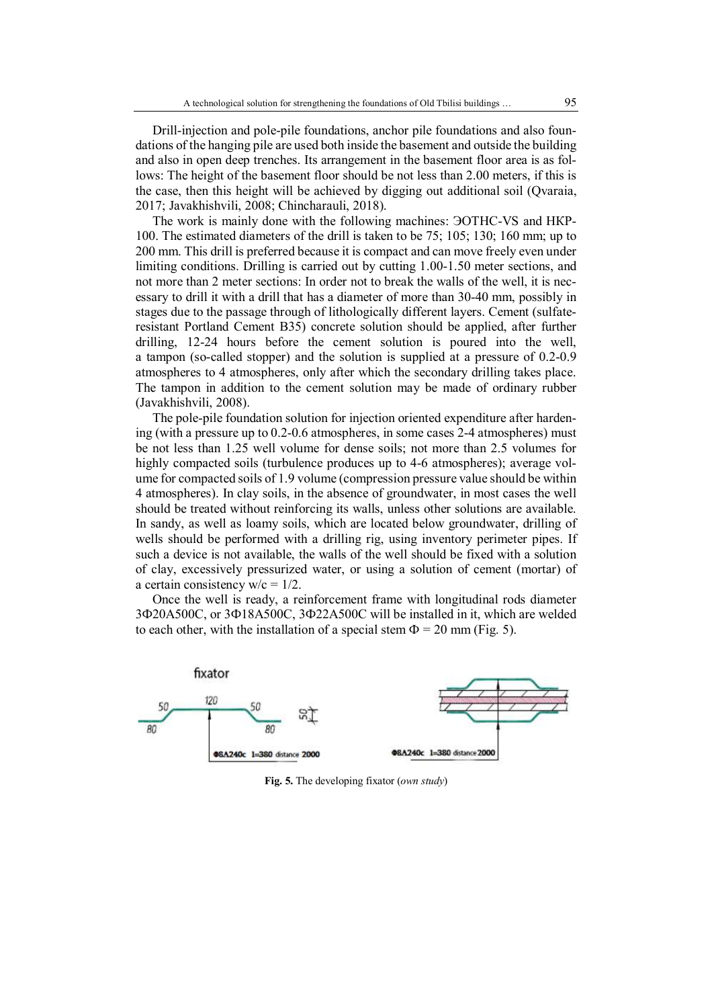Drill-injection and pole-pile foundations, anchor pile foundations and also foundations of the hanging pile are used both inside the basement and outside the building and also in open deep trenches. Its arrangement in the basement floor area is as follows: The height of the basement floor should be not less than 2.00 meters, if this is the case, then this height will be achieved by digging out additional soil (Qvaraia, 2017; Javakhishvili, 2008; Chincharauli, 2018).

The work is mainly done with the following machines: ЭОТНС-VS and НКР-100. The estimated diameters of the drill is taken to be 75; 105; 130; 160 mm; up to 200 mm. This drill is preferred because it is compact and can move freely even under limiting conditions. Drilling is carried out by cutting 1.00-1.50 meter sections, and not more than 2 meter sections: In order not to break the walls of the well, it is necessary to drill it with a drill that has a diameter of more than 30-40 mm, possibly in stages due to the passage through of lithologically different layers. Cement (sulfateresistant Portland Cement B35) concrete solution should be applied, after further drilling, 12-24 hours before the cement solution is poured into the well, a tampon (so-called stopper) and the solution is supplied at a pressure of 0.2-0.9 atmospheres to 4 atmospheres, only after which the secondary drilling takes place. The tampon in addition to the cement solution may be made of ordinary rubber (Javakhishvili, 2008).

The pole-pile foundation solution for injection oriented expenditure after hardening (with a pressure up to 0.2-0.6 atmospheres, in some cases 2-4 atmospheres) must be not less than 1.25 well volume for dense soils; not more than 2.5 volumes for highly compacted soils (turbulence produces up to 4-6 atmospheres); average volume for compacted soils of 1.9 volume (compression pressure value should be within 4 atmospheres). In clay soils, in the absence of groundwater, in most cases the well should be treated without reinforcing its walls, unless other solutions are available. In sandy, as well as loamy soils, which are located below groundwater, drilling of wells should be performed with a drilling rig, using inventory perimeter pipes. If such a device is not available, the walls of the well should be fixed with a solution of clay, excessively pressurized water, or using a solution of cement (mortar) of a certain consistency  $w/c = 1/2$ .

Once the well is ready, a reinforcement frame with longitudinal rods diameter 3Ф20A500C, or 3Ф18A500C, 3Ф22A500C will be installed in it, which are welded to each other, with the installation of a special stem  $\Phi = 20$  mm (Fig. 5).



**Fig. 5.** The developing fixator (*own study*)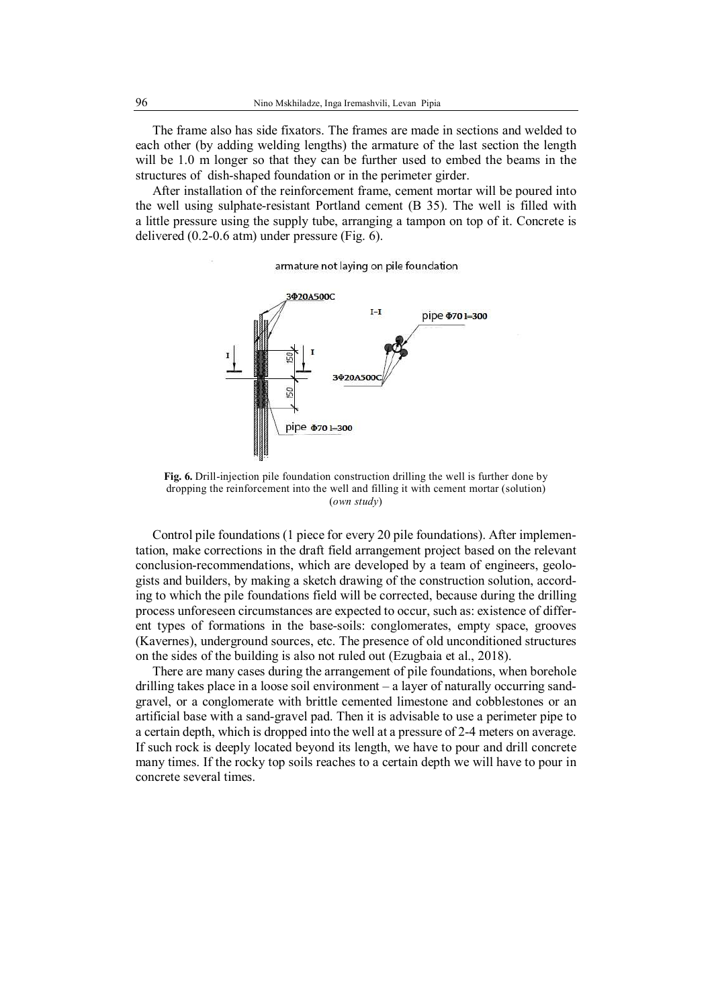The frame also has side fixators. The frames are made in sections and welded to each other (by adding welding lengths) the armature of the last section the length will be 1.0 m longer so that they can be further used to embed the beams in the structures of dish-shaped foundation or in the perimeter girder.

After installation of the reinforcement frame, cement mortar will be poured into the well using sulphate-resistant Portland cement (B 35). The well is filled with a little pressure using the supply tube, arranging a tampon on top of it. Concrete is delivered (0.2-0.6 atm) under pressure (Fig. 6).

armature not laying on pile foundation



**Fig. 6.** Drill-injection pile foundation construction drilling the well is further done by dropping the reinforcement into the well and filling it with cement mortar (solution) (*own study*)

Control pile foundations (1 piece for every 20 pile foundations). After implementation, make corrections in the draft field arrangement project based on the relevant conclusion-recommendations, which are developed by a team of engineers, geologists and builders, by making a sketch drawing of the construction solution, according to which the pile foundations field will be corrected, because during the drilling process unforeseen circumstances are expected to occur, such as: existence of different types of formations in the base-soils: conglomerates, empty space, grooves (Kavernes), underground sources, etc. The presence of old unconditioned structures on the sides of the building is also not ruled out (Ezugbaia et al., 2018).

There are many cases during the arrangement of pile foundations, when borehole drilling takes place in a loose soil environment – a layer of naturally occurring sandgravel, or a conglomerate with brittle cemented limestone and cobblestones or an artificial base with a sand-gravel pad. Then it is advisable to use a perimeter pipe to a certain depth, which is dropped into the well at a pressure of 2-4 meters on average. If such rock is deeply located beyond its length, we have to pour and drill concrete many times. If the rocky top soils reaches to a certain depth we will have to pour in concrete several times.